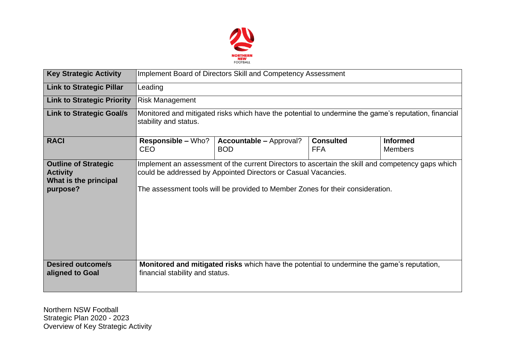

| <b>Key Strategic Activity</b>                                                       | Implement Board of Directors Skill and Competency Assessment                                                                                                                                                                                          |                                                                                            |                                |                                   |  |  |  |
|-------------------------------------------------------------------------------------|-------------------------------------------------------------------------------------------------------------------------------------------------------------------------------------------------------------------------------------------------------|--------------------------------------------------------------------------------------------|--------------------------------|-----------------------------------|--|--|--|
| <b>Link to Strategic Pillar</b>                                                     | Leading                                                                                                                                                                                                                                               |                                                                                            |                                |                                   |  |  |  |
| <b>Link to Strategic Priority</b>                                                   | <b>Risk Management</b>                                                                                                                                                                                                                                |                                                                                            |                                |                                   |  |  |  |
| <b>Link to Strategic Goal/s</b>                                                     | Monitored and mitigated risks which have the potential to undermine the game's reputation, financial<br>stability and status.                                                                                                                         |                                                                                            |                                |                                   |  |  |  |
| <b>RACI</b>                                                                         | <b>Responsible – Who?</b><br><b>CEO</b>                                                                                                                                                                                                               | <b>Accountable - Approval?</b><br><b>BOD</b>                                               | <b>Consulted</b><br><b>FFA</b> | <b>Informed</b><br><b>Members</b> |  |  |  |
| <b>Outline of Strategic</b><br><b>Activity</b><br>What is the principal<br>purpose? | Implement an assessment of the current Directors to ascertain the skill and competency gaps which<br>could be addressed by Appointed Directors or Casual Vacancies.<br>The assessment tools will be provided to Member Zones for their consideration. |                                                                                            |                                |                                   |  |  |  |
| <b>Desired outcome/s</b><br>aligned to Goal                                         | financial stability and status.                                                                                                                                                                                                                       | Monitored and mitigated risks which have the potential to undermine the game's reputation, |                                |                                   |  |  |  |

Northern NSW Football Strategic Plan 2020 - 2023 Overview of Key Strategic Activity